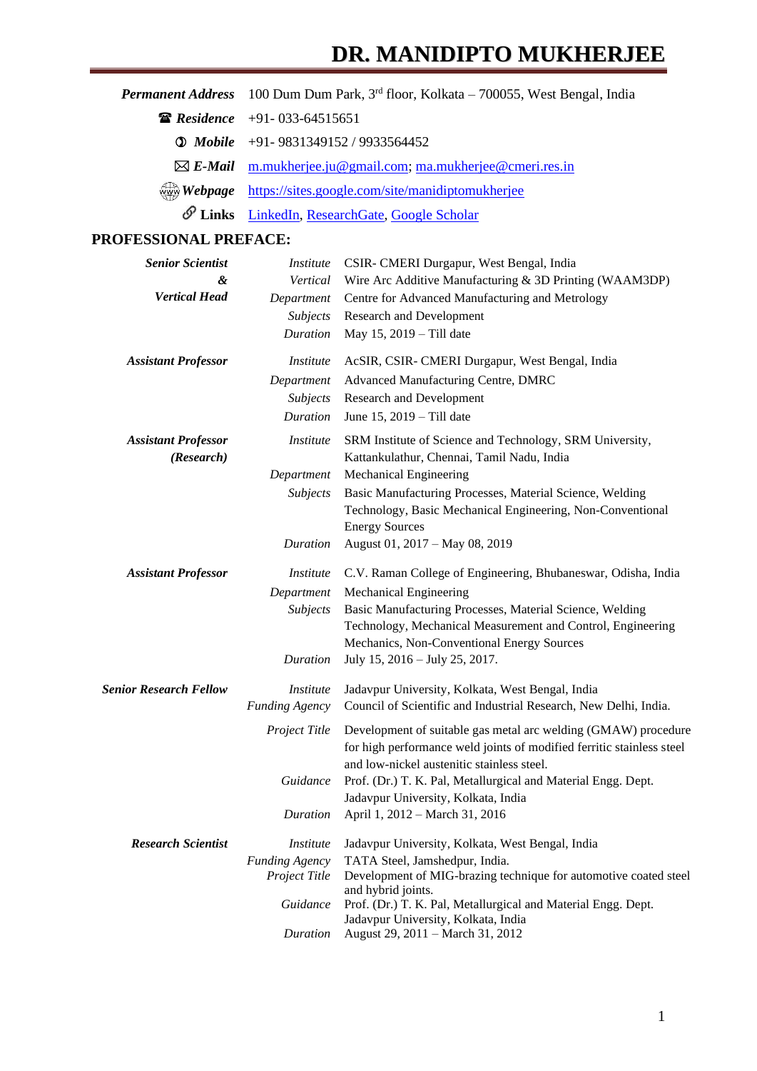# **DR. MANIDIPTO MUKHERJEE**

| <b>Permanent Address</b>                                     | 100 Dum Dum Park, 3 <sup>rd</sup> floor, Kolkata – 700055, West Bengal, India |                                                                                                                                                                                       |  |
|--------------------------------------------------------------|-------------------------------------------------------------------------------|---------------------------------------------------------------------------------------------------------------------------------------------------------------------------------------|--|
| <b>Residence</b>                                             | $+91 - 033 - 64515651$                                                        |                                                                                                                                                                                       |  |
| <b>1</b> Mobile                                              | +91-9831349152 / 9933564452                                                   |                                                                                                                                                                                       |  |
| $\boxtimes$ E-Mail                                           | m.mukherjee.ju@gmail.com; ma.mukherjee@cmeri.res.in                           |                                                                                                                                                                                       |  |
| $\downarrow\downarrow\downarrow\downarrow\downarrow$ Webpage |                                                                               | https://sites.google.com/site/manidiptomukherjee                                                                                                                                      |  |
| $\mathscr{O}$ Links                                          |                                                                               | LinkedIn, ResearchGate, Google Scholar                                                                                                                                                |  |
| PROFESSIONAL PREFACE:                                        |                                                                               |                                                                                                                                                                                       |  |
| <b>Senior Scientist</b>                                      | <i>Institute</i>                                                              | CSIR- CMERI Durgapur, West Bengal, India                                                                                                                                              |  |
| &                                                            | Vertical                                                                      | Wire Arc Additive Manufacturing & 3D Printing (WAAM3DP)                                                                                                                               |  |
| <b>Vertical Head</b>                                         | Department                                                                    | Centre for Advanced Manufacturing and Metrology                                                                                                                                       |  |
|                                                              | Subjects                                                                      | <b>Research and Development</b>                                                                                                                                                       |  |
|                                                              | <b>Duration</b>                                                               | May 15, 2019 - Till date                                                                                                                                                              |  |
| <b>Assistant Professor</b>                                   | <i>Institute</i>                                                              | AcSIR, CSIR- CMERI Durgapur, West Bengal, India                                                                                                                                       |  |
|                                                              | Department                                                                    | Advanced Manufacturing Centre, DMRC                                                                                                                                                   |  |
|                                                              | Subjects                                                                      | <b>Research and Development</b>                                                                                                                                                       |  |
|                                                              | Duration                                                                      | June 15, 2019 - Till date                                                                                                                                                             |  |
| <b>Assistant Professor</b><br>(Research)                     | <i>Institute</i>                                                              | SRM Institute of Science and Technology, SRM University,<br>Kattankulathur, Chennai, Tamil Nadu, India                                                                                |  |
|                                                              | Department                                                                    | Mechanical Engineering                                                                                                                                                                |  |
|                                                              | Subjects                                                                      | Basic Manufacturing Processes, Material Science, Welding<br>Technology, Basic Mechanical Engineering, Non-Conventional<br><b>Energy Sources</b>                                       |  |
|                                                              | Duration                                                                      | August 01, 2017 - May 08, 2019                                                                                                                                                        |  |
| <b>Assistant Professor</b>                                   | <i>Institute</i>                                                              | C.V. Raman College of Engineering, Bhubaneswar, Odisha, India                                                                                                                         |  |
|                                                              | Department                                                                    | Mechanical Engineering                                                                                                                                                                |  |
|                                                              | Subjects                                                                      | Basic Manufacturing Processes, Material Science, Welding<br>Technology, Mechanical Measurement and Control, Engineering                                                               |  |
|                                                              |                                                                               | Mechanics, Non-Conventional Energy Sources                                                                                                                                            |  |
|                                                              | Duration                                                                      | July 15, 2016 - July 25, 2017.                                                                                                                                                        |  |
| <b>Senior Research Fellow</b>                                | <i>Institute</i>                                                              | Jadavpur University, Kolkata, West Bengal, India                                                                                                                                      |  |
|                                                              | <b>Funding Agency</b>                                                         | Council of Scientific and Industrial Research, New Delhi, India.                                                                                                                      |  |
|                                                              | Project Title                                                                 | Development of suitable gas metal arc welding (GMAW) procedure<br>for high performance weld joints of modified ferritic stainless steel<br>and low-nickel austenitic stainless steel. |  |
|                                                              | Guidance                                                                      | Prof. (Dr.) T. K. Pal, Metallurgical and Material Engg. Dept.                                                                                                                         |  |
|                                                              | Duration                                                                      | Jadavpur University, Kolkata, India<br>April 1, 2012 - March 31, 2016                                                                                                                 |  |
| <b>Research Scientist</b>                                    | <i>Institute</i>                                                              | Jadavpur University, Kolkata, West Bengal, India                                                                                                                                      |  |
|                                                              | <b>Funding Agency</b><br>Project Title                                        | TATA Steel, Jamshedpur, India.<br>Development of MIG-brazing technique for automotive coated steel<br>and hybrid joints.                                                              |  |
|                                                              | Guidance                                                                      | Prof. (Dr.) T. K. Pal, Metallurgical and Material Engg. Dept.<br>Jadavpur University, Kolkata, India                                                                                  |  |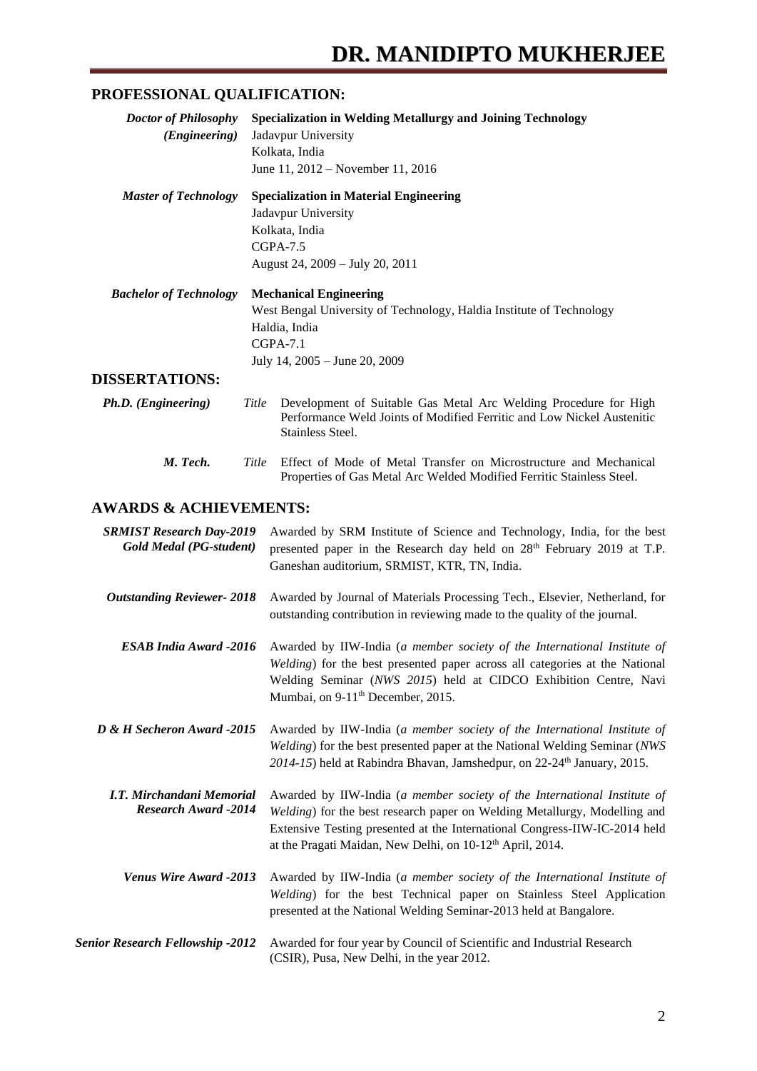# **PROFESSIONAL QUALIFICATION:**

| <b>Doctor of Philosophy</b><br>( <i>Engineering</i> )             | <b>Specialization in Welding Metallurgy and Joining Technology</b><br>Jadavpur University<br>Kolkata, India<br>June 11, 2012 - November 11, 2016                                                                                                                                                             |  |  |
|-------------------------------------------------------------------|--------------------------------------------------------------------------------------------------------------------------------------------------------------------------------------------------------------------------------------------------------------------------------------------------------------|--|--|
| <b>Master of Technology</b>                                       | <b>Specialization in Material Engineering</b><br>Jadavpur University<br>Kolkata, India<br>$CGPA-7.5$<br>August 24, 2009 - July 20, 2011                                                                                                                                                                      |  |  |
| <b>Bachelor of Technology</b>                                     | <b>Mechanical Engineering</b><br>West Bengal University of Technology, Haldia Institute of Technology<br>Haldia, India<br>$CGPA-7.1$<br>July 14, 2005 - June 20, 2009                                                                                                                                        |  |  |
| <b>DISSERTATIONS:</b>                                             |                                                                                                                                                                                                                                                                                                              |  |  |
| Ph.D. (Engineering)<br>Title                                      | Development of Suitable Gas Metal Arc Welding Procedure for High<br>Performance Weld Joints of Modified Ferritic and Low Nickel Austenitic<br>Stainless Steel.                                                                                                                                               |  |  |
| M. Tech.<br>Title                                                 | Effect of Mode of Metal Transfer on Microstructure and Mechanical<br>Properties of Gas Metal Arc Welded Modified Ferritic Stainless Steel.                                                                                                                                                                   |  |  |
| <b>AWARDS &amp; ACHIEVEMENTS:</b>                                 |                                                                                                                                                                                                                                                                                                              |  |  |
| <b>SRMIST Research Day-2019</b><br><b>Gold Medal (PG-student)</b> | Awarded by SRM Institute of Science and Technology, India, for the best<br>presented paper in the Research day held on 28 <sup>th</sup> February 2019 at T.P.<br>Ganeshan auditorium, SRMIST, KTR, TN, India.                                                                                                |  |  |
| <b>Outstanding Reviewer-2018</b>                                  | Awarded by Journal of Materials Processing Tech., Elsevier, Netherland, for<br>outstanding contribution in reviewing made to the quality of the journal.                                                                                                                                                     |  |  |
| <b>ESAB India Award -2016</b>                                     | Awarded by IIW-India (a member society of the International Institute of<br>Welding) for the best presented paper across all categories at the National<br>Welding Seminar (NWS 2015) held at CIDCO Exhibition Centre, Navi<br>Mumbai, on 9-11 <sup>th</sup> December, 2015.                                 |  |  |
| D & H Secheron Award -2015                                        | Awarded by IIW-India (a member society of the International Institute of<br>Welding) for the best presented paper at the National Welding Seminar (NWS<br>2014-15) held at Rabindra Bhavan, Jamshedpur, on 22-24 <sup>th</sup> January, 2015.                                                                |  |  |
| I.T. Mirchandani Memorial<br><b>Research Award -2014</b>          | Awarded by IIW-India (a member society of the International Institute of<br>Welding) for the best research paper on Welding Metallurgy, Modelling and<br>Extensive Testing presented at the International Congress-IIW-IC-2014 held<br>at the Pragati Maidan, New Delhi, on 10-12 <sup>th</sup> April, 2014. |  |  |
| <b>Venus Wire Award -2013</b>                                     | Awarded by IIW-India (a member society of the International Institute of<br>Welding) for the best Technical paper on Stainless Steel Application<br>presented at the National Welding Seminar-2013 held at Bangalore.                                                                                        |  |  |
| <b>Senior Research Fellowship -2012</b>                           | Awarded for four year by Council of Scientific and Industrial Research<br>(CSIR), Pusa, New Delhi, in the year 2012.                                                                                                                                                                                         |  |  |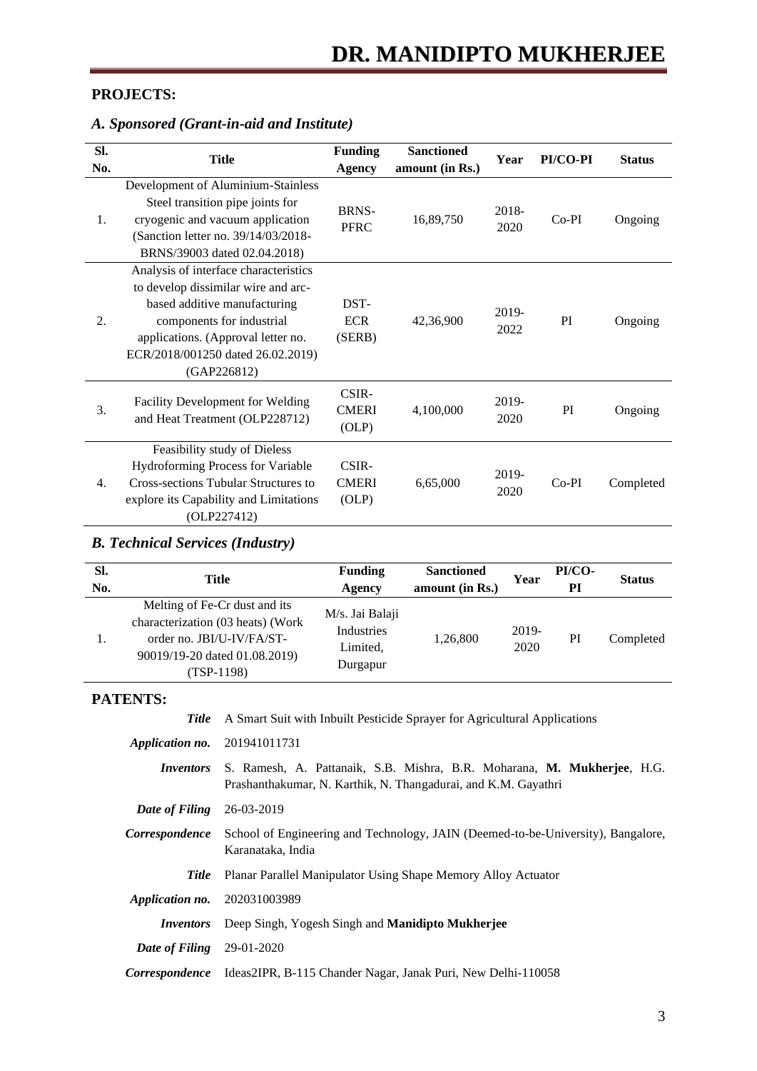# **PROJECTS:**

| SI.<br>No. | <b>Title</b>                                                                                                                                                                                                                        | <b>Funding</b><br><b>Agency</b> | <b>Sanctioned</b><br>amount (in Rs.) | Year          | PI/CO-PI | <b>Status</b> |
|------------|-------------------------------------------------------------------------------------------------------------------------------------------------------------------------------------------------------------------------------------|---------------------------------|--------------------------------------|---------------|----------|---------------|
| 1.         | Development of Aluminium-Stainless<br>Steel transition pipe joints for<br>cryogenic and vacuum application<br>(Sanction letter no. 39/14/03/2018-<br>BRNS/39003 dated 02.04.2018)                                                   | <b>BRNS-</b><br><b>PFRC</b>     | 16,89,750                            | 2018-<br>2020 | $Co-PI$  | Ongoing       |
| 2.         | Analysis of interface characteristics<br>to develop dissimilar wire and arc-<br>based additive manufacturing<br>components for industrial<br>applications. (Approval letter no.<br>ECR/2018/001250 dated 26.02.2019)<br>(GAP226812) | DST-<br><b>ECR</b><br>(SERB)    | 42,36,900                            | 2019-<br>2022 | PI       | Ongoing       |
| 3.         | <b>Facility Development for Welding</b><br>and Heat Treatment (OLP228712)                                                                                                                                                           | CSIR-<br><b>CMERI</b><br>(OLP)  | 4,100,000                            | 2019-<br>2020 | PI       | Ongoing       |
| 4.         | Feasibility study of Dieless<br><b>Hydroforming Process for Variable</b><br><b>Cross-sections Tubular Structures to</b><br>explore its Capability and Limitations<br>(OLP227412)                                                    | CSIR-<br><b>CMERI</b><br>(OLP)  | 6,65,000                             | 2019-<br>2020 | Co-PI    | Completed     |

# *A. Sponsored (Grant-in-aid and Institute)*

## *B. Technical Services (Industry)*

| SI.<br>No. | Title                                                                                                                                            | <b>Funding</b><br>Agency                              | <b>Sanctioned</b><br>amount (in Rs.) | Year          | PI/CO-<br>PI | <b>Status</b> |
|------------|--------------------------------------------------------------------------------------------------------------------------------------------------|-------------------------------------------------------|--------------------------------------|---------------|--------------|---------------|
|            | Melting of Fe-Cr dust and its<br>characterization (03 heats) (Work<br>order no. JBI/U-IV/FA/ST-<br>90019/19-20 dated 01.08.2019)<br>$(TSP-1198)$ | M/s. Jai Balaji<br>Industries<br>Limited,<br>Durgapur | 1,26,800                             | 2019-<br>2020 | PI           | Completed     |

### **PATENTS:**

| A Smart Suit with Inbuilt Pesticide Sprayer for Agricultural Applications                                                                                     |  |
|---------------------------------------------------------------------------------------------------------------------------------------------------------------|--|
| 201941011731                                                                                                                                                  |  |
| S. Ramesh, A. Pattanaik, S.B. Mishra, B.R. Moharana, M. Mukherjee, H.G.<br><i>Inventors</i><br>Prashanthakumar, N. Karthik, N. Thangadurai, and K.M. Gayathri |  |
| 26-03-2019<br>Date of Filing                                                                                                                                  |  |
| School of Engineering and Technology, JAIN (Deemed-to-be-University), Bangalore,<br>Correspondence<br>Karanataka, India                                       |  |
| Planar Parallel Manipulator Using Shape Memory Alloy Actuator                                                                                                 |  |
| 202031003989                                                                                                                                                  |  |
| Deep Singh, Yogesh Singh and <b>Manidipto Mukherjee</b>                                                                                                       |  |
| Date of Filing<br>29-01-2020                                                                                                                                  |  |
| Ideas2IPR, B-115 Chander Nagar, Janak Puri, New Delhi-110058<br><i>Correspondence</i>                                                                         |  |
|                                                                                                                                                               |  |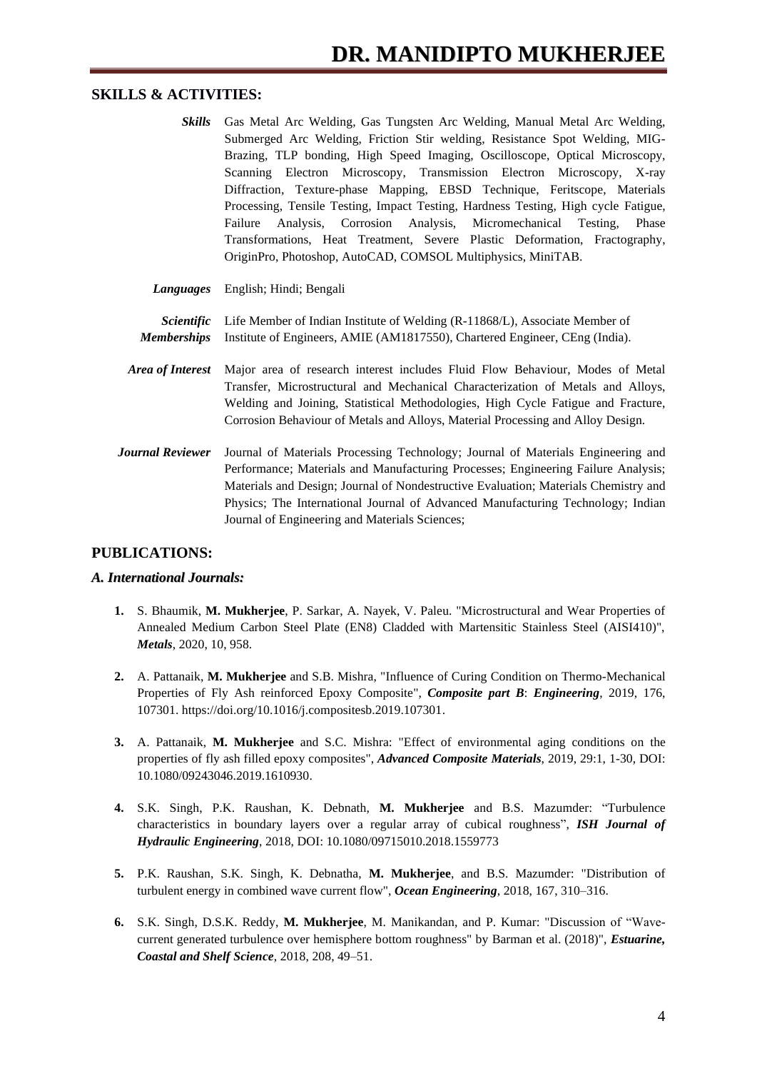#### **SKILLS & ACTIVITIES:**

- *Skills* Gas Metal Arc Welding, Gas Tungsten Arc Welding, Manual Metal Arc Welding, Submerged Arc Welding, Friction Stir welding, Resistance Spot Welding, MIG-Brazing, TLP bonding, High Speed Imaging, Oscilloscope, Optical Microscopy, Scanning Electron Microscopy, Transmission Electron Microscopy, X-ray Diffraction, Texture-phase Mapping, EBSD Technique, Feritscope, Materials Processing, Tensile Testing, Impact Testing, Hardness Testing, High cycle Fatigue, Failure Analysis, Corrosion Analysis, Micromechanical Testing, Phase Transformations, Heat Treatment, Severe Plastic Deformation, Fractography, OriginPro, Photoshop, AutoCAD, COMSOL Multiphysics, MiniTAB.
- *Languages* English; Hindi; Bengali *Scientific*  Life Member of Indian Institute of Welding (R-11868/L), Associate Member of
	- *Memberships* Institute of Engineers, AMIE (AM1817550), Chartered Engineer, CEng (India).
	- *Area of Interest* Major area of research interest includes Fluid Flow Behaviour, Modes of Metal Transfer, Microstructural and Mechanical Characterization of Metals and Alloys, Welding and Joining, Statistical Methodologies, High Cycle Fatigue and Fracture, Corrosion Behaviour of Metals and Alloys, Material Processing and Alloy Design.
- *Journal Reviewer* Journal of Materials Processing Technology; Journal of Materials Engineering and Performance; Materials and Manufacturing Processes; Engineering Failure Analysis; Materials and Design; Journal of Nondestructive Evaluation; Materials Chemistry and Physics; The International Journal of Advanced Manufacturing Technology; Indian Journal of Engineering and Materials Sciences;

#### **PUBLICATIONS:**

#### *A. International Journals:*

- **1.** S. Bhaumik, **M. Mukherjee**, P. Sarkar, A. Nayek, V. Paleu. "Microstructural and Wear Properties of Annealed Medium Carbon Steel Plate (EN8) Cladded with Martensitic Stainless Steel (AISI410)", *Metals*, 2020, 10, 958.
- **2.** A. Pattanaik, **M. Mukherjee** and S.B. Mishra, "Influence of Curing Condition on Thermo-Mechanical Properties of Fly Ash reinforced Epoxy Composite", *Composite part B*: *Engineering*, 2019, 176, 107301. https://doi.org/10.1016/j.compositesb.2019.107301.
- **3.** A. Pattanaik, **M. Mukherjee** and S.C. Mishra: "Effect of environmental aging conditions on the properties of fly ash filled epoxy composites", *Advanced Composite Materials*, 2019, 29:1, 1-30, DOI: 10.1080/09243046.2019.1610930.
- **4.** S.K. Singh, P.K. Raushan, K. Debnath, **M. Mukherjee** and B.S. Mazumder: "Turbulence characteristics in boundary layers over a regular array of cubical roughness", *ISH Journal of Hydraulic Engineering*, 2018, DOI: 10.1080/09715010.2018.1559773
- **5.** P.K. Raushan, S.K. Singh, K. Debnatha, **M. Mukherjee**, and B.S. Mazumder: "Distribution of turbulent energy in combined wave current flow", *Ocean Engineering*, 2018, 167, 310–316.
- **6.** S.K. Singh, D.S.K. Reddy, **M. Mukherjee**, M. Manikandan, and P. Kumar: "Discussion of "Wavecurrent generated turbulence over hemisphere bottom roughness" by Barman et al. (2018)", *Estuarine, Coastal and Shelf Science*, 2018, 208, 49–51.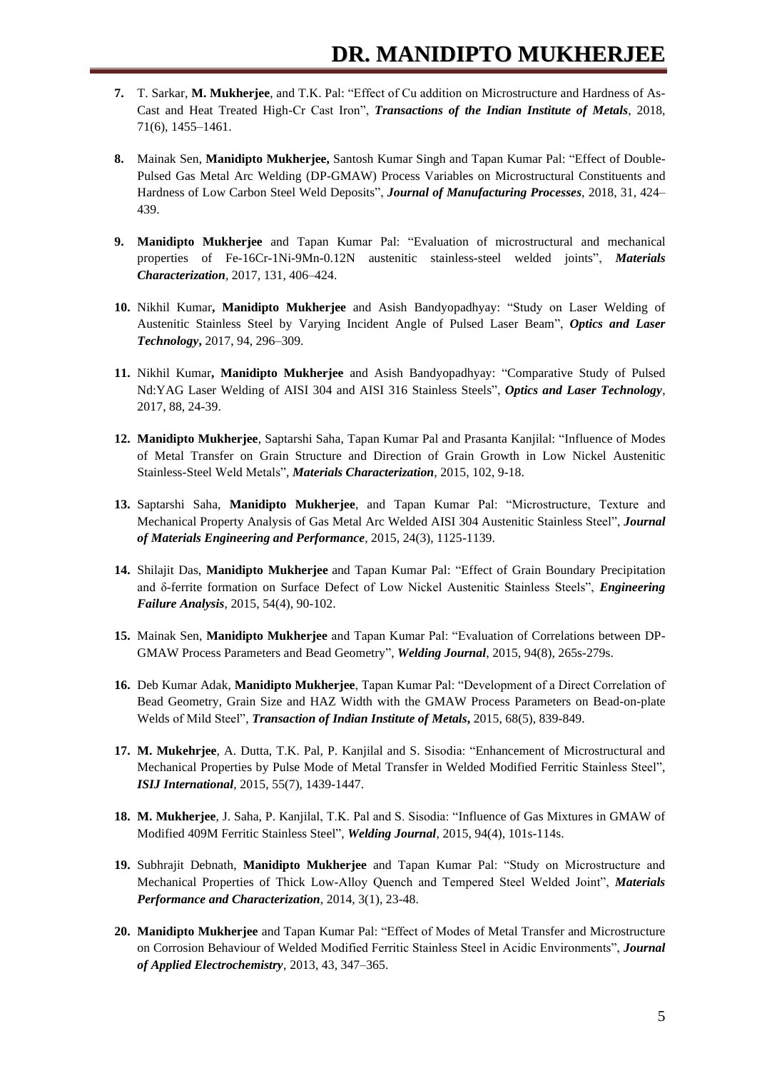- **7.** T. Sarkar, **M. Mukherjee**, and T.K. Pal: "Effect of Cu addition on Microstructure and Hardness of As-Cast and Heat Treated High-Cr Cast Iron", *Transactions of the Indian Institute of Metals*, 2018, 71(6), 1455–1461.
- **8.** Mainak Sen, **Manidipto Mukherjee,** Santosh Kumar Singh and Tapan Kumar Pal: "Effect of Double-Pulsed Gas Metal Arc Welding (DP-GMAW) Process Variables on Microstructural Constituents and Hardness of Low Carbon Steel Weld Deposits", *Journal of Manufacturing Processes*, 2018, 31, 424– 439.
- **9. Manidipto Mukherjee** and Tapan Kumar Pal: "Evaluation of microstructural and mechanical properties of Fe-16Cr-1Ni-9Mn-0.12N austenitic stainless-steel welded joints", *Materials Characterization*, 2017, 131, 406–424.
- **10.** Nikhil Kumar**, Manidipto Mukherjee** and Asish Bandyopadhyay: "Study on Laser Welding of Austenitic Stainless Steel by Varying Incident Angle of Pulsed Laser Beam", *Optics and Laser Technology***,** 2017, 94, 296–309.
- **11.** Nikhil Kumar**, Manidipto Mukherjee** and Asish Bandyopadhyay: "Comparative Study of Pulsed Nd:YAG Laser Welding of AISI 304 and AISI 316 Stainless Steels", *Optics and Laser Technology*, 2017, 88, 24-39.
- **12. Manidipto Mukherjee**, Saptarshi Saha, Tapan Kumar Pal and Prasanta Kanjilal: "Influence of Modes of Metal Transfer on Grain Structure and Direction of Grain Growth in Low Nickel Austenitic Stainless-Steel Weld Metals", *Materials Characterization*, 2015, 102, 9-18.
- **13.** Saptarshi Saha, **Manidipto Mukherjee**, and Tapan Kumar Pal: "Microstructure, Texture and Mechanical Property Analysis of Gas Metal Arc Welded AISI 304 Austenitic Stainless Steel", *Journal of Materials Engineering and Performance*, 2015, 24(3), 1125-1139.
- **14.** Shilajit Das, **Manidipto Mukherjee** and Tapan Kumar Pal: "Effect of Grain Boundary Precipitation and δ-ferrite formation on Surface Defect of Low Nickel Austenitic Stainless Steels", *Engineering Failure Analysis*, 2015, 54(4), 90-102.
- **15.** Mainak Sen, **Manidipto Mukherjee** and Tapan Kumar Pal: "Evaluation of Correlations between DP-GMAW Process Parameters and Bead Geometry", *Welding Journal*, 2015, 94(8), 265s-279s.
- **16.** Deb Kumar Adak, **Manidipto Mukherjee**, Tapan Kumar Pal: "Development of a Direct Correlation of Bead Geometry, Grain Size and HAZ Width with the GMAW Process Parameters on Bead-on-plate Welds of Mild Steel", *Transaction of Indian Institute of Metals***,** 2015, 68(5), 839-849.
- **17. M. Mukehrjee**, A. Dutta, T.K. Pal, P. Kanjilal and S. Sisodia: "Enhancement of Microstructural and Mechanical Properties by Pulse Mode of Metal Transfer in Welded Modified Ferritic Stainless Steel", *ISIJ International*, 2015, 55(7), 1439-1447.
- **18. M. Mukherjee**, J. Saha, P. Kanjilal, T.K. Pal and S. Sisodia: "Influence of Gas Mixtures in GMAW of Modified 409M Ferritic Stainless Steel", *Welding Journal*, 2015, 94(4), 101s-114s.
- **19.** Subhrajit Debnath, **Manidipto Mukherjee** and Tapan Kumar Pal: "Study on Microstructure and Mechanical Properties of Thick Low-Alloy Quench and Tempered Steel Welded Joint", *Materials Performance and Characterization*, 2014, 3(1), 23-48.
- **20. Manidipto Mukherjee** and Tapan Kumar Pal: "Effect of Modes of Metal Transfer and Microstructure on Corrosion Behaviour of Welded Modified Ferritic Stainless Steel in Acidic Environments", *Journal of Applied Electrochemistry*, 2013, 43, 347–365.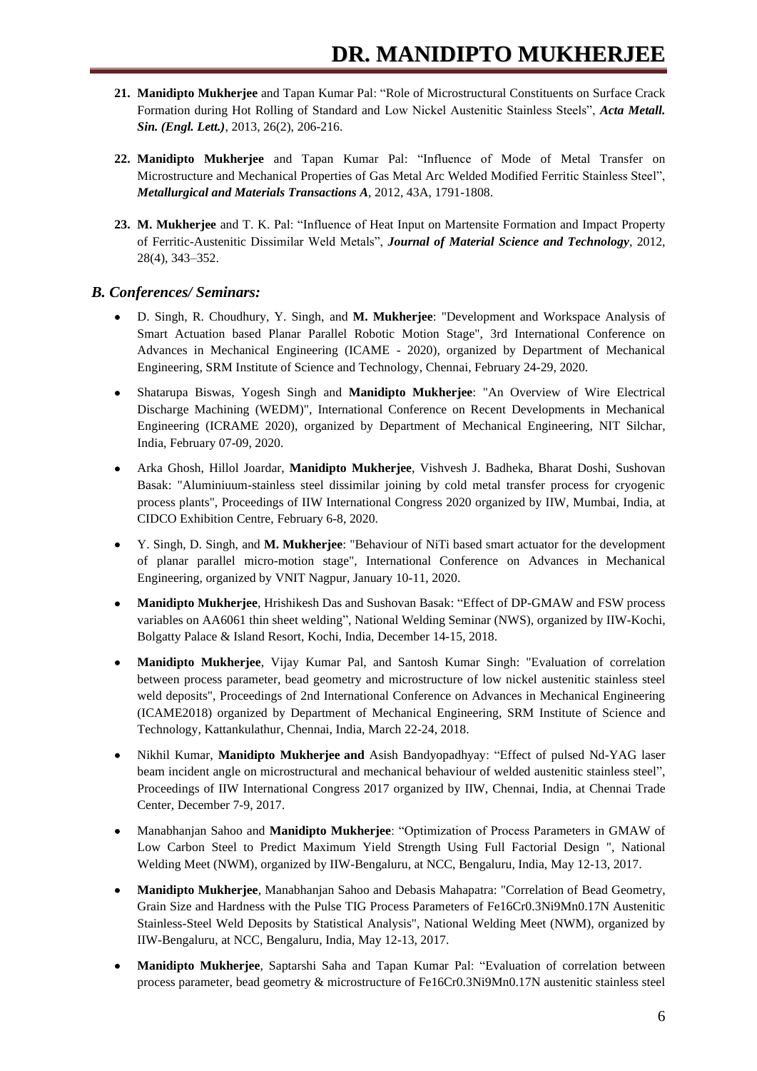- **21. Manidipto Mukherjee** and Tapan Kumar Pal: "Role of Microstructural Constituents on Surface Crack Formation during Hot Rolling of Standard and Low Nickel Austenitic Stainless Steels", *Acta Metall. Sin. (Engl. Lett.)*, 2013, 26(2), 206-216.
- **22. Manidipto Mukherjee** and Tapan Kumar Pal: "Influence of Mode of Metal Transfer on Microstructure and Mechanical Properties of Gas Metal Arc Welded Modified Ferritic Stainless Steel", *Metallurgical and Materials Transactions A*, 2012, 43A, 1791-1808.
- **23. M. Mukherjee** and T. K. Pal: "Influence of Heat Input on Martensite Formation and Impact Property of Ferritic-Austenitic Dissimilar Weld Metals", *Journal of Material Science and Technology*, 2012, 28(4), 343–352.

#### *B. Conferences/ Seminars:*

- D. Singh, R. Choudhury, Y. Singh, and **M. Mukherjee**: "Development and Workspace Analysis of Smart Actuation based Planar Parallel Robotic Motion Stage", 3rd International Conference on Advances in Mechanical Engineering (ICAME - 2020), organized by Department of Mechanical Engineering, SRM Institute of Science and Technology, Chennai, February 24-29, 2020.
- Shatarupa Biswas, Yogesh Singh and **Manidipto Mukherjee**: "An Overview of Wire Electrical Discharge Machining (WEDM)", International Conference on Recent Developments in Mechanical Engineering (ICRAME 2020), organized by Department of Mechanical Engineering, NIT Silchar, India, February 07-09, 2020.
- Arka Ghosh, Hillol Joardar, **Manidipto Mukherjee**, Vishvesh J. Badheka, Bharat Doshi, Sushovan Basak: "Aluminiuum-stainless steel dissimilar joining by cold metal transfer process for cryogenic process plants", Proceedings of IIW International Congress 2020 organized by IIW, Mumbai, India, at CIDCO Exhibition Centre, February 6-8, 2020.
- Y. Singh, D. Singh, and **M. Mukherjee**: "Behaviour of NiTi based smart actuator for the development of planar parallel micro-motion stage", International Conference on Advances in Mechanical Engineering, organized by VNIT Nagpur, January 10-11, 2020.
- **Manidipto Mukherjee**, Hrishikesh Das and Sushovan Basak: "Effect of DP-GMAW and FSW process variables on AA6061 thin sheet welding", National Welding Seminar (NWS), organized by IIW-Kochi, Bolgatty Palace & Island Resort, Kochi, India, December 14-15, 2018.
- **Manidipto Mukherjee**, Vijay Kumar Pal, and Santosh Kumar Singh: "Evaluation of correlation between process parameter, bead geometry and microstructure of low nickel austenitic stainless steel weld deposits", Proceedings of 2nd International Conference on Advances in Mechanical Engineering (ICAME2018) organized by Department of Mechanical Engineering, SRM Institute of Science and Technology, Kattankulathur, Chennai, India, March 22-24, 2018.
- Nikhil Kumar, **Manidipto Mukherjee and** Asish Bandyopadhyay: "Effect of pulsed Nd-YAG laser beam incident angle on microstructural and mechanical behaviour of welded austenitic stainless steel", Proceedings of IIW International Congress 2017 organized by IIW, Chennai, India, at Chennai Trade Center, December 7-9, 2017.
- Manabhanjan Sahoo and **Manidipto Mukherjee**: "Optimization of Process Parameters in GMAW of Low Carbon Steel to Predict Maximum Yield Strength Using Full Factorial Design ", National Welding Meet (NWM), organized by IIW-Bengaluru, at NCC, Bengaluru, India, May 12-13, 2017.
- **Manidipto Mukherjee**, Manabhanjan Sahoo and Debasis Mahapatra: "Correlation of Bead Geometry, Grain Size and Hardness with the Pulse TIG Process Parameters of Fe16Cr0.3Ni9Mn0.17N Austenitic Stainless-Steel Weld Deposits by Statistical Analysis", National Welding Meet (NWM), organized by IIW-Bengaluru, at NCC, Bengaluru, India, May 12-13, 2017.
- **Manidipto Mukherjee**, Saptarshi Saha and Tapan Kumar Pal: "Evaluation of correlation between process parameter, bead geometry & microstructure of Fe16Cr0.3Ni9Mn0.17N austenitic stainless steel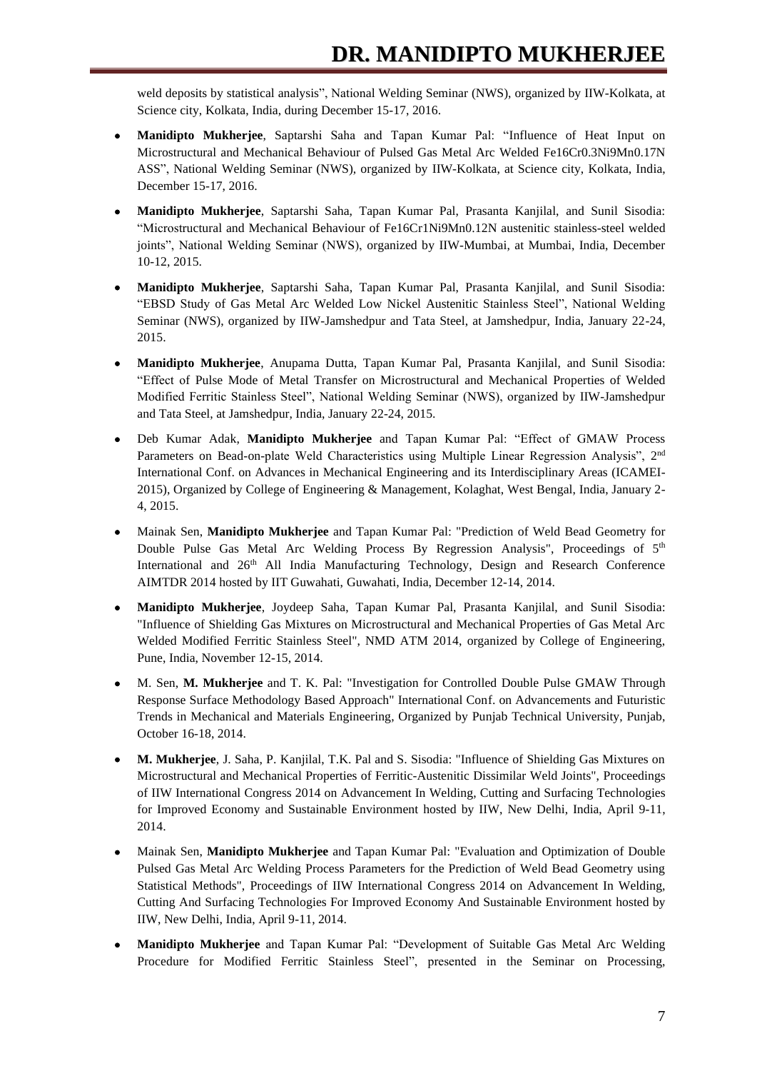weld deposits by statistical analysis", National Welding Seminar (NWS), organized by IIW-Kolkata, at Science city, Kolkata, India, during December 15-17, 2016.

- **Manidipto Mukherjee**, Saptarshi Saha and Tapan Kumar Pal: "Influence of Heat Input on Microstructural and Mechanical Behaviour of Pulsed Gas Metal Arc Welded Fe16Cr0.3Ni9Mn0.17N ASS", National Welding Seminar (NWS), organized by IIW-Kolkata, at Science city, Kolkata, India, December 15-17, 2016.
- **Manidipto Mukherjee**, Saptarshi Saha, Tapan Kumar Pal, Prasanta Kanjilal, and Sunil Sisodia: "Microstructural and Mechanical Behaviour of Fe16Cr1Ni9Mn0.12N austenitic stainless-steel welded joints", National Welding Seminar (NWS), organized by IIW-Mumbai, at Mumbai, India, December 10-12, 2015.
- **Manidipto Mukherjee**, Saptarshi Saha, Tapan Kumar Pal, Prasanta Kanjilal, and Sunil Sisodia: "EBSD Study of Gas Metal Arc Welded Low Nickel Austenitic Stainless Steel", National Welding Seminar (NWS), organized by IIW-Jamshedpur and Tata Steel, at Jamshedpur, India, January 22-24, 2015.
- **Manidipto Mukherjee**, Anupama Dutta, Tapan Kumar Pal, Prasanta Kanjilal, and Sunil Sisodia: "Effect of Pulse Mode of Metal Transfer on Microstructural and Mechanical Properties of Welded Modified Ferritic Stainless Steel", National Welding Seminar (NWS), organized by IIW-Jamshedpur and Tata Steel, at Jamshedpur, India, January 22-24, 2015.
- Deb Kumar Adak, **Manidipto Mukherjee** and Tapan Kumar Pal: "Effect of GMAW Process Parameters on Bead-on-plate Weld Characteristics using Multiple Linear Regression Analysis", 2<sup>nd</sup> International Conf. on Advances in Mechanical Engineering and its Interdisciplinary Areas (ICAMEI-2015), Organized by College of Engineering & Management, Kolaghat, West Bengal, India, January 2- 4, 2015.
- Mainak Sen, **Manidipto Mukherjee** and Tapan Kumar Pal: "Prediction of Weld Bead Geometry for Double Pulse Gas Metal Arc Welding Process By Regression Analysis", Proceedings of 5<sup>th</sup> International and 26<sup>th</sup> All India Manufacturing Technology, Design and Research Conference AIMTDR 2014 hosted by IIT Guwahati, Guwahati, India, December 12-14, 2014.
- **Manidipto Mukherjee**, Joydeep Saha, Tapan Kumar Pal, Prasanta Kanjilal, and Sunil Sisodia: "Influence of Shielding Gas Mixtures on Microstructural and Mechanical Properties of Gas Metal Arc Welded Modified Ferritic Stainless Steel", NMD ATM 2014, organized by College of Engineering, Pune, India, November 12-15, 2014.
- M. Sen, **M. Mukherjee** and T. K. Pal: "Investigation for Controlled Double Pulse GMAW Through Response Surface Methodology Based Approach" International Conf. on Advancements and Futuristic Trends in Mechanical and Materials Engineering, Organized by Punjab Technical University, Punjab, October 16-18, 2014.
- **M. Mukherjee**, J. Saha, P. Kanjilal, T.K. Pal and S. Sisodia: "Influence of Shielding Gas Mixtures on Microstructural and Mechanical Properties of Ferritic-Austenitic Dissimilar Weld Joints", Proceedings of IIW International Congress 2014 on Advancement In Welding, Cutting and Surfacing Technologies for Improved Economy and Sustainable Environment hosted by IIW, New Delhi, India, April 9-11, 2014.
- Mainak Sen, **Manidipto Mukherjee** and Tapan Kumar Pal: "Evaluation and Optimization of Double Pulsed Gas Metal Arc Welding Process Parameters for the Prediction of Weld Bead Geometry using Statistical Methods", Proceedings of IIW International Congress 2014 on Advancement In Welding, Cutting And Surfacing Technologies For Improved Economy And Sustainable Environment hosted by IIW, New Delhi, India, April 9-11, 2014.
- **Manidipto Mukherjee** and Tapan Kumar Pal: "Development of Suitable Gas Metal Arc Welding Procedure for Modified Ferritic Stainless Steel", presented in the Seminar on Processing,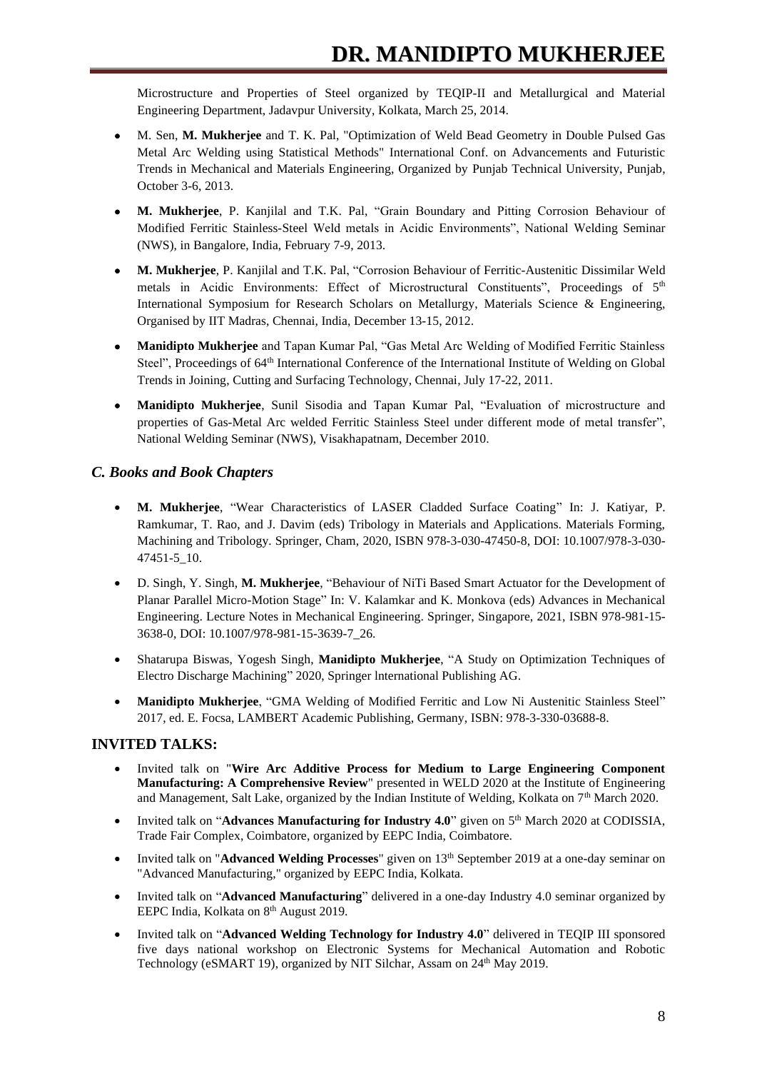Microstructure and Properties of Steel organized by TEQIP-II and Metallurgical and Material Engineering Department, Jadavpur University, Kolkata, March 25, 2014.

- M. Sen, **M. Mukherjee** and T. K. Pal, "Optimization of Weld Bead Geometry in Double Pulsed Gas Metal Arc Welding using Statistical Methods" International Conf. on Advancements and Futuristic Trends in Mechanical and Materials Engineering, Organized by Punjab Technical University, Punjab, October 3-6, 2013.
- **M. Mukherjee**, P. Kanjilal and T.K. Pal, "Grain Boundary and Pitting Corrosion Behaviour of Modified Ferritic Stainless-Steel Weld metals in Acidic Environments", National Welding Seminar (NWS), in Bangalore, India, February 7-9, 2013.
- **M. Mukherjee**, P. Kanjilal and T.K. Pal, "Corrosion Behaviour of Ferritic-Austenitic Dissimilar Weld metals in Acidic Environments: Effect of Microstructural Constituents", Proceedings of 5<sup>th</sup> International Symposium for Research Scholars on Metallurgy, Materials Science & Engineering, Organised by IIT Madras, Chennai, India, December 13-15, 2012.
- **Manidipto Mukherjee** and Tapan Kumar Pal, "Gas Metal Arc Welding of Modified Ferritic Stainless Steel", Proceedings of 64th International Conference of the International Institute of Welding on Global Trends in Joining, Cutting and Surfacing Technology, Chennai, July 17-22, 2011.
- **Manidipto Mukherjee**, Sunil Sisodia and Tapan Kumar Pal, "Evaluation of microstructure and properties of Gas-Metal Arc welded Ferritic Stainless Steel under different mode of metal transfer", National Welding Seminar (NWS), Visakhapatnam, December 2010.

#### *C. Books and Book Chapters*

- **M. Mukherjee**, "Wear Characteristics of LASER Cladded Surface Coating" In: J. Katiyar, P. Ramkumar, T. Rao, and J. Davim (eds) Tribology in Materials and Applications. Materials Forming, Machining and Tribology. Springer, Cham, 2020, ISBN 978-3-030-47450-8, DOI: 10.1007/978-3-030- 47451-5\_10.
- D. Singh, Y. Singh, **M. Mukherjee**, "Behaviour of NiTi Based Smart Actuator for the Development of Planar Parallel Micro-Motion Stage" In: V. Kalamkar and K. Monkova (eds) Advances in Mechanical Engineering. Lecture Notes in Mechanical Engineering. Springer, Singapore, 2021, ISBN 978-981-15- 3638-0, DOI: 10.1007/978-981-15-3639-7\_26.
- Shatarupa Biswas, Yogesh Singh, **Manidipto Mukherjee**, "A Study on Optimization Techniques of Electro Discharge Machining" 2020, Springer lnternational Publishing AG.
- **Manidipto Mukherjee**, "GMA Welding of Modified Ferritic and Low Ni Austenitic Stainless Steel" 2017, ed. E. Focsa, LAMBERT Academic Publishing, Germany, ISBN: 978-3-330-03688-8.

#### **INVITED TALKS:**

- Invited talk on "**Wire Arc Additive Process for Medium to Large Engineering Component Manufacturing: A Comprehensive Review**" presented in WELD 2020 at the Institute of Engineering and Management, Salt Lake, organized by the Indian Institute of Welding, Kolkata on 7th March 2020.
- Invited talk on "**Advances Manufacturing for Industry 4.0**" given on 5<sup>th</sup> March 2020 at CODISSIA, Trade Fair Complex, Coimbatore, organized by EEPC India, Coimbatore.
- Invited talk on "**Advanced Welding Processes**" given on 13<sup>th</sup> September 2019 at a one-day seminar on "Advanced Manufacturing," organized by EEPC India, Kolkata.
- Invited talk on "**Advanced Manufacturing**" delivered in a one-day Industry 4.0 seminar organized by EEPC India, Kolkata on 8<sup>th</sup> August 2019.
- Invited talk on "**Advanced Welding Technology for Industry 4.0**" delivered in TEQIP III sponsored five days national workshop on Electronic Systems for Mechanical Automation and Robotic Technology (eSMART 19), organized by NIT Silchar, Assam on 24<sup>th</sup> May 2019.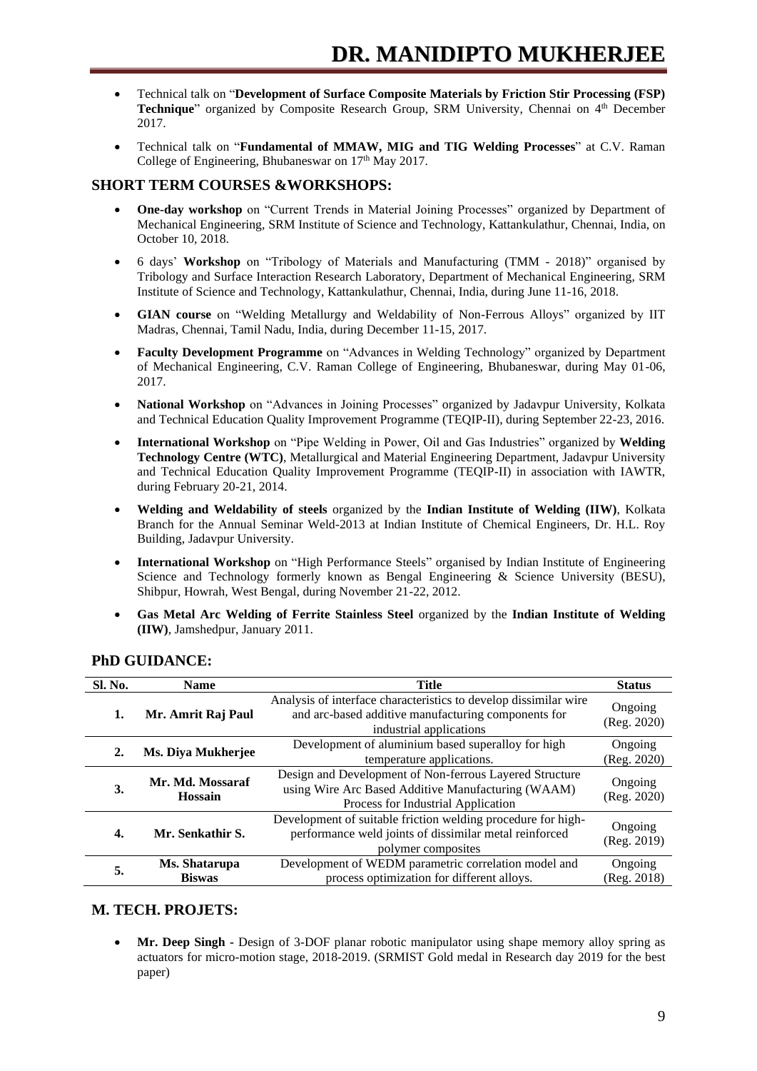- Technical talk on "**Development of Surface Composite Materials by Friction Stir Processing (FSP)**  Technique" organized by Composite Research Group, SRM University, Chennai on 4<sup>th</sup> December 2017.
- Technical talk on "**Fundamental of MMAW, MIG and TIG Welding Processes**" at C.V. Raman College of Engineering, Bhubaneswar on 17<sup>th</sup> May 2017.

#### **SHORT TERM COURSES &WORKSHOPS:**

- **One-day workshop** on "Current Trends in Material Joining Processes" organized by Department of Mechanical Engineering, SRM Institute of Science and Technology, Kattankulathur, Chennai, India, on October 10, 2018.
- 6 days' **Workshop** on "Tribology of Materials and Manufacturing (TMM 2018)" organised by Tribology and Surface Interaction Research Laboratory, Department of Mechanical Engineering, SRM Institute of Science and Technology, Kattankulathur, Chennai, India, during June 11-16, 2018.
- **GIAN course** on "Welding Metallurgy and Weldability of Non-Ferrous Alloys" organized by IIT Madras, Chennai, Tamil Nadu, India, during December 11-15, 2017.
- **Faculty Development Programme** on "Advances in Welding Technology" organized by Department of Mechanical Engineering, C.V. Raman College of Engineering, Bhubaneswar, during May 01-06, 2017.
- **National Workshop** on "Advances in Joining Processes" organized by Jadavpur University, Kolkata and Technical Education Quality Improvement Programme (TEQIP-II), during September 22-23, 2016.
- **International Workshop** on "Pipe Welding in Power, Oil and Gas Industries" organized by **Welding Technology Centre (WTC)**, Metallurgical and Material Engineering Department, Jadavpur University and Technical Education Quality Improvement Programme (TEQIP-II) in association with IAWTR, during February 20-21, 2014.
- **Welding and Weldability of steels** organized by the **Indian Institute of Welding (IIW)**, Kolkata Branch for the Annual Seminar Weld-2013 at Indian Institute of Chemical Engineers, Dr. H.L. Roy Building, Jadavpur University.
- **International Workshop** on "High Performance Steels" organised by Indian Institute of Engineering Science and Technology formerly known as Bengal Engineering & Science University (BESU), Shibpur, Howrah, West Bengal, during November 21-22, 2012.
- **Gas Metal Arc Welding of Ferrite Stainless Steel** organized by the **Indian Institute of Welding (IIW)**, Jamshedpur, January 2011.

| Sl. No. | <b>Name</b>                                                                                                                                                      | <b>Title</b>                                                                                                                                        | <b>Status</b>          |
|---------|------------------------------------------------------------------------------------------------------------------------------------------------------------------|-----------------------------------------------------------------------------------------------------------------------------------------------------|------------------------|
| 1.      | Mr. Amrit Raj Paul                                                                                                                                               | Analysis of interface characteristics to develop dissimilar wire<br>and arc-based additive manufacturing components for<br>industrial applications  | Ongoing<br>(Reg. 2020) |
| 2.      | Ms. Diya Mukherjee                                                                                                                                               | Development of aluminium based superalloy for high<br>temperature applications.                                                                     |                        |
| 3.      | Mr. Md. Mossaraf<br><b>Hossain</b>                                                                                                                               | Design and Development of Non-ferrous Layered Structure<br>using Wire Arc Based Additive Manufacturing (WAAM)<br>Process for Industrial Application | Ongoing<br>(Reg. 2020) |
| 4.      | Development of suitable friction welding procedure for high-<br>performance weld joints of dissimilar metal reinforced<br>Mr. Senkathir S.<br>polymer composites |                                                                                                                                                     | Ongoing<br>(Reg. 2019) |
| 5.      | Ms. Shatarupa<br><b>Biswas</b>                                                                                                                                   | Development of WEDM parametric correlation model and<br>process optimization for different alloys.                                                  | Ongoing<br>(Reg. 2018) |

#### **PhD GUIDANCE:**

#### **M. TECH. PROJETS:**

• **Mr. Deep Singh -** Design of 3-DOF planar robotic manipulator using shape memory alloy spring as actuators for micro-motion stage, 2018-2019. (SRMIST Gold medal in Research day 2019 for the best paper)